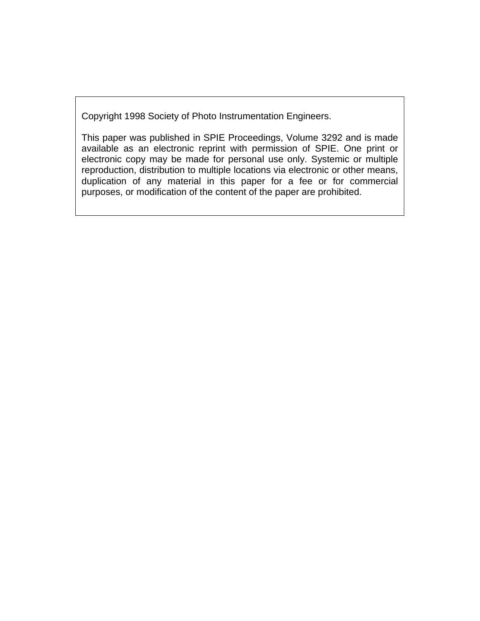Copyright 1998 Society of Photo Instrumentation Engineers.

This paper was published in SPIE Proceedings, Volume 3292 and is made available as an electronic reprint with permission of SPIE. One print or electronic copy may be made for personal use only. Systemic or multiple reproduction, distribution to multiple locations via electronic or other means, duplication of any material in this paper for a fee or for commercial purposes, or modification of the content of the paper are prohibited.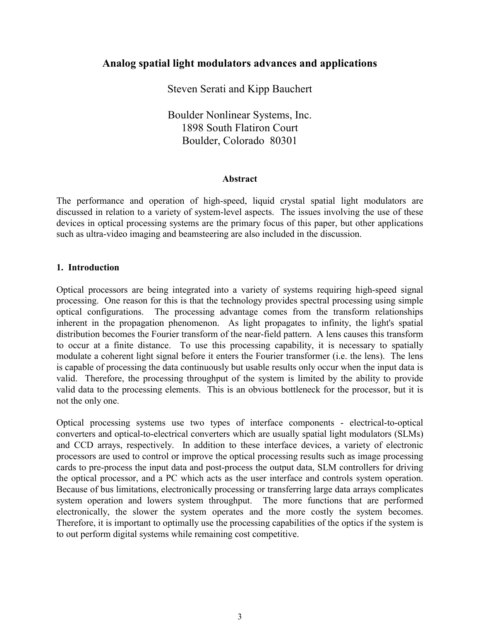# **Analog spatial light modulators advances and applications**

Steven Serati and Kipp Bauchert

Boulder Nonlinear Systems, Inc. 1898 South Flatiron Court Boulder, Colorado 80301

### **Abstract**

The performance and operation of high-speed, liquid crystal spatial light modulators are discussed in relation to a variety of system-level aspects. The issues involving the use of these devices in optical processing systems are the primary focus of this paper, but other applications such as ultra-video imaging and beamsteering are also included in the discussion.

## **1. Introduction**

Optical processors are being integrated into a variety of systems requiring high-speed signal processing. One reason for this is that the technology provides spectral processing using simple optical configurations. The processing advantage comes from the transform relationships inherent in the propagation phenomenon. As light propagates to infinity, the light's spatial distribution becomes the Fourier transform of the near-field pattern. A lens causes this transform to occur at a finite distance. To use this processing capability, it is necessary to spatially modulate a coherent light signal before it enters the Fourier transformer (i.e. the lens). The lens is capable of processing the data continuously but usable results only occur when the input data is valid. Therefore, the processing throughput of the system is limited by the ability to provide valid data to the processing elements. This is an obvious bottleneck for the processor, but it is not the only one.

Optical processing systems use two types of interface components - electrical-to-optical converters and optical-to-electrical converters which are usually spatial light modulators (SLMs) and CCD arrays, respectively. In addition to these interface devices, a variety of electronic processors are used to control or improve the optical processing results such as image processing cards to pre-process the input data and post-process the output data, SLM controllers for driving the optical processor, and a PC which acts as the user interface and controls system operation. Because of bus limitations, electronically processing or transferring large data arrays complicates system operation and lowers system throughput. The more functions that are performed electronically, the slower the system operates and the more costly the system becomes. Therefore, it is important to optimally use the processing capabilities of the optics if the system is to out perform digital systems while remaining cost competitive.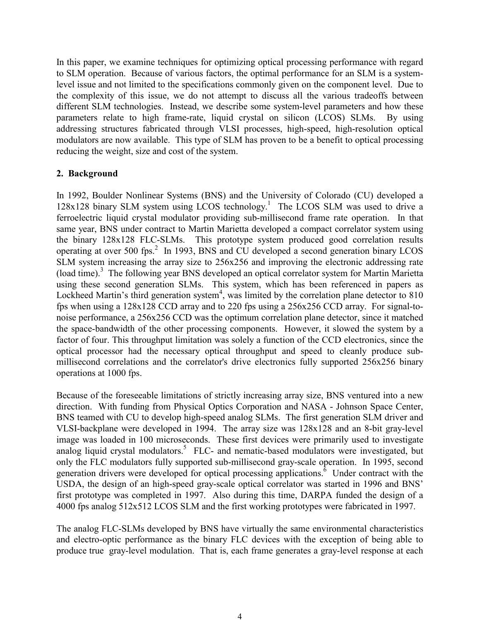In this paper, we examine techniques for optimizing optical processing performance with regard to SLM operation. Because of various factors, the optimal performance for an SLM is a systemlevel issue and not limited to the specifications commonly given on the component level. Due to the complexity of this issue, we do not attempt to discuss all the various tradeoffs between different SLM technologies. Instead, we describe some system-level parameters and how these parameters relate to high frame-rate, liquid crystal on silicon (LCOS) SLMs. By using addressing structures fabricated through VLSI processes, high-speed, high-resolution optical modulators are now available. This type of SLM has proven to be a benefit to optical processing reducing the weight, size and cost of the system.

# **2. Background**

In 1992, Boulder Nonlinear Systems (BNS) and the University of Colorado (CU) developed a 128x128 binary SLM system using LCOS technology.<sup>1</sup> The LCOS SLM was used to drive a ferroelectric liquid crystal modulator providing sub-millisecond frame rate operation. In that same year, BNS under contract to Martin Marietta developed a compact correlator system using the binary 128x128 FLC-SLMs. This prototype system produced good correlation results operating at over 500 fps.<sup>2</sup> In 1993, BNS and CU developed a second generation binary LCOS SLM system increasing the array size to 256x256 and improving the electronic addressing rate (load time).<sup>3</sup> The following year BNS developed an optical correlator system for Martin Marietta using these second generation SLMs. This system, which has been referenced in papers as Lockheed Martin's third generation system<sup>4</sup>, was limited by the correlation plane detector to 810 fps when using a 128x128 CCD array and to 220 fps using a 256x256 CCD array. For signal-tonoise performance, a 256x256 CCD was the optimum correlation plane detector, since it matched the space-bandwidth of the other processing components. However, it slowed the system by a factor of four. This throughput limitation was solely a function of the CCD electronics, since the optical processor had the necessary optical throughput and speed to cleanly produce submillisecond correlations and the correlator's drive electronics fully supported 256x256 binary operations at 1000 fps.

Because of the foreseeable limitations of strictly increasing array size, BNS ventured into a new direction. With funding from Physical Optics Corporation and NASA - Johnson Space Center, BNS teamed with CU to develop high-speed analog SLMs. The first generation SLM driver and VLSI-backplane were developed in 1994. The array size was 128x128 and an 8-bit gray-level image was loaded in 100 microseconds. These first devices were primarily used to investigate analog liquid crystal modulators.<sup>5</sup> FLC- and nematic-based modulators were investigated, but only the FLC modulators fully supported sub-millisecond gray-scale operation. In 1995, second generation drivers were developed for optical processing applications. $\delta$  Under contract with the USDA, the design of an high-speed gray-scale optical correlator was started in 1996 and BNS' first prototype was completed in 1997. Also during this time, DARPA funded the design of a 4000 fps analog 512x512 LCOS SLM and the first working prototypes were fabricated in 1997.

The analog FLC-SLMs developed by BNS have virtually the same environmental characteristics and electro-optic performance as the binary FLC devices with the exception of being able to produce true gray-level modulation. That is, each frame generates a gray-level response at each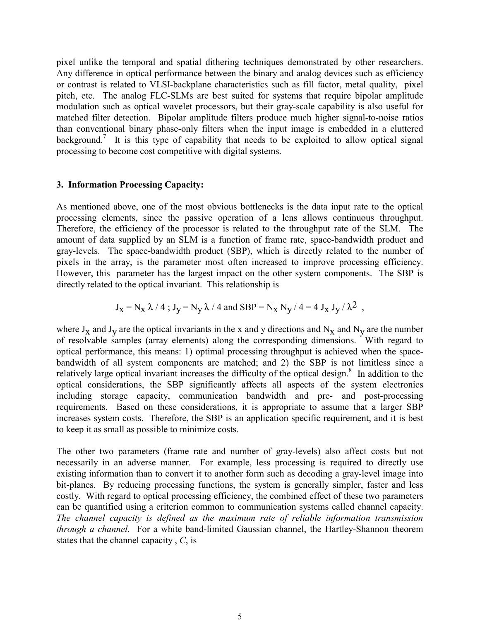pixel unlike the temporal and spatial dithering techniques demonstrated by other researchers. Any difference in optical performance between the binary and analog devices such as efficiency or contrast is related to VLSI-backplane characteristics such as fill factor, metal quality, pixel pitch, etc. The analog FLC-SLMs are best suited for systems that require bipolar amplitude modulation such as optical wavelet processors, but their gray-scale capability is also useful for matched filter detection. Bipolar amplitude filters produce much higher signal-to-noise ratios than conventional binary phase-only filters when the input image is embedded in a cluttered background.<sup>7</sup> It is this type of capability that needs to be exploited to allow optical signal processing to become cost competitive with digital systems.

#### **3. Information Processing Capacity:**

As mentioned above, one of the most obvious bottlenecks is the data input rate to the optical processing elements, since the passive operation of a lens allows continuous throughput. Therefore, the efficiency of the processor is related to the throughput rate of the SLM. The amount of data supplied by an SLM is a function of frame rate, space-bandwidth product and gray-levels. The space-bandwidth product (SBP), which is directly related to the number of pixels in the array, is the parameter most often increased to improve processing efficiency. However, this parameter has the largest impact on the other system components. The SBP is directly related to the optical invariant. This relationship is

$$
J_X = N_X \lambda / 4
$$
;  $J_y = N_y \lambda / 4$  and  $SBP = N_X N_y / 4 = 4 J_x J_y / \lambda^2$ ,

where  $J_x$  and  $J_y$  are the optical invariants in the x and y directions and  $N_x$  and  $N_y$  are the number of resolvable samples (array elements) along the corresponding dimensions. With regard to optical performance, this means: 1) optimal processing throughput is achieved when the spacebandwidth of all system components are matched; and 2) the SBP is not limitless since a relatively large optical invariant increases the difficulty of the optical design.<sup>8</sup> In addition to the optical considerations, the SBP significantly affects all aspects of the system electronics including storage capacity, communication bandwidth and pre- and post-processing requirements. Based on these considerations, it is appropriate to assume that a larger SBP increases system costs. Therefore, the SBP is an application specific requirement, and it is best to keep it as small as possible to minimize costs.

The other two parameters (frame rate and number of gray-levels) also affect costs but not necessarily in an adverse manner. For example, less processing is required to directly use existing information than to convert it to another form such as decoding a gray-level image into bit-planes. By reducing processing functions, the system is generally simpler, faster and less costly. With regard to optical processing efficiency, the combined effect of these two parameters can be quantified using a criterion common to communication systems called channel capacity. *The channel capacity is defined as the maximum rate of reliable information transmission through a channel.* For a white band-limited Gaussian channel, the Hartley-Shannon theorem states that the channel capacity , *C*, is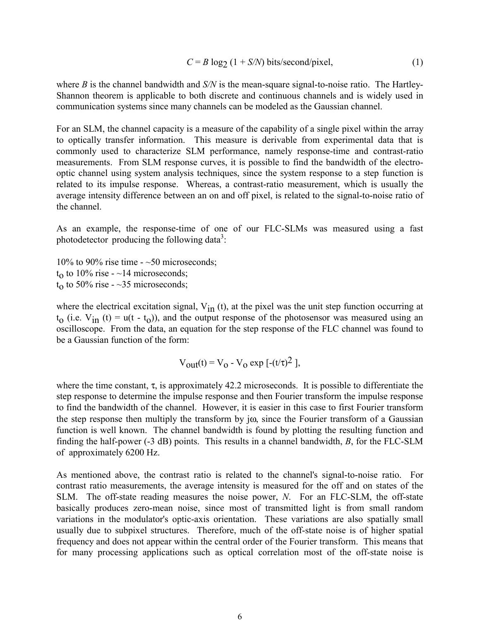$$
C = B \log_2 (1 + S/N) \text{ bits/second/pixel},\tag{1}
$$

where *B* is the channel bandwidth and *S/N* is the mean-square signal-to-noise ratio. The Hartley-Shannon theorem is applicable to both discrete and continuous channels and is widely used in communication systems since many channels can be modeled as the Gaussian channel.

For an SLM, the channel capacity is a measure of the capability of a single pixel within the array to optically transfer information. This measure is derivable from experimental data that is commonly used to characterize SLM performance, namely response-time and contrast-ratio measurements. From SLM response curves, it is possible to find the bandwidth of the electrooptic channel using system analysis techniques, since the system response to a step function is related to its impulse response. Whereas, a contrast-ratio measurement, which is usually the average intensity difference between an on and off pixel, is related to the signal-to-noise ratio of the channel.

As an example, the response-time of one of our FLC-SLMs was measured using a fast photodetector producing the following data<sup>3</sup>:

10% to 90% rise time  $-50$  microseconds;  $t_0$  to 10% rise - ~14 microseconds;  $t_0$  to 50% rise - ~35 microseconds;

where the electrical excitation signal,  $V_{in}$  (t), at the pixel was the unit step function occurring at  $t_0$  (i.e.  $V_{in}$  (t) = u(t - t<sub>0</sub>)), and the output response of the photosensor was measured using an oscilloscope. From the data, an equation for the step response of the FLC channel was found to be a Gaussian function of the form:

$$
V_{out}(t) = V_0 - V_0 \exp [-(t/\tau)^2],
$$

where the time constant,  $\tau$ , is approximately 42.2 microseconds. It is possible to differentiate the step response to determine the impulse response and then Fourier transform the impulse response to find the bandwidth of the channel. However, it is easier in this case to first Fourier transform the step response then multiply the transform by jω, since the Fourier transform of a Gaussian function is well known. The channel bandwidth is found by plotting the resulting function and finding the half-power (-3 dB) points. This results in a channel bandwidth, *B*, for the FLC-SLM of approximately 6200 Hz.

As mentioned above, the contrast ratio is related to the channel's signal-to-noise ratio. For contrast ratio measurements, the average intensity is measured for the off and on states of the SLM. The off-state reading measures the noise power, *N*. For an FLC-SLM, the off-state basically produces zero-mean noise, since most of transmitted light is from small random variations in the modulator's optic-axis orientation. These variations are also spatially small usually due to subpixel structures. Therefore, much of the off-state noise is of higher spatial frequency and does not appear within the central order of the Fourier transform. This means that for many processing applications such as optical correlation most of the off-state noise is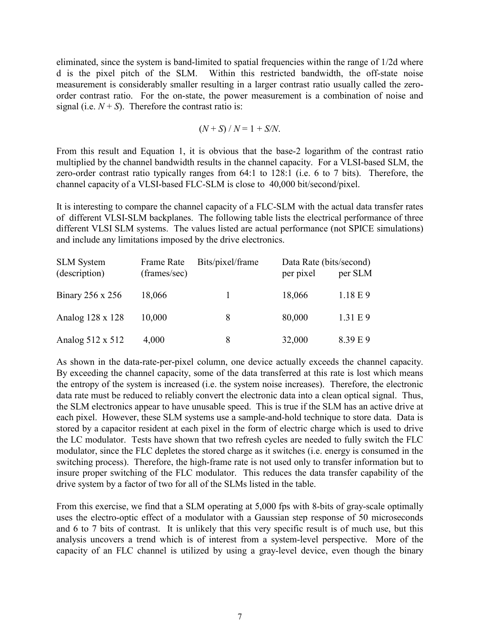eliminated, since the system is band-limited to spatial frequencies within the range of 1/2d where d is the pixel pitch of the SLM. Within this restricted bandwidth, the off-state noise measurement is considerably smaller resulting in a larger contrast ratio usually called the zeroorder contrast ratio. For the on-state, the power measurement is a combination of noise and signal (i.e.  $N + S$ ). Therefore the contrast ratio is:

$$
(N + S) / N = 1 + S/N.
$$

From this result and Equation 1, it is obvious that the base-2 logarithm of the contrast ratio multiplied by the channel bandwidth results in the channel capacity. For a VLSI-based SLM, the zero-order contrast ratio typically ranges from 64:1 to 128:1 (i.e. 6 to 7 bits). Therefore, the channel capacity of a VLSI-based FLC-SLM is close to 40,000 bit/second/pixel.

It is interesting to compare the channel capacity of a FLC-SLM with the actual data transfer rates of different VLSI-SLM backplanes. The following table lists the electrical performance of three different VLSI SLM systems. The values listed are actual performance (not SPICE simulations) and include any limitations imposed by the drive electronics.

| <b>SLM</b> System<br>(description) | Frame Rate<br>(frames/sec) | Bits/pixel/frame | Data Rate (bits/second)<br>per pixel | per SLM  |
|------------------------------------|----------------------------|------------------|--------------------------------------|----------|
| Binary 256 x 256                   | 18,066                     |                  | 18,066                               | 1.18E9   |
| Analog 128 x 128                   | 10,000                     | 8                | 80,000                               | 1.31 E9  |
| Analog 512 x 512                   | 4,000                      | 8                | 32,000                               | 8.39 E 9 |

As shown in the data-rate-per-pixel column, one device actually exceeds the channel capacity. By exceeding the channel capacity, some of the data transferred at this rate is lost which means the entropy of the system is increased (i.e. the system noise increases). Therefore, the electronic data rate must be reduced to reliably convert the electronic data into a clean optical signal. Thus, the SLM electronics appear to have unusable speed. This is true if the SLM has an active drive at each pixel. However, these SLM systems use a sample-and-hold technique to store data. Data is stored by a capacitor resident at each pixel in the form of electric charge which is used to drive the LC modulator. Tests have shown that two refresh cycles are needed to fully switch the FLC modulator, since the FLC depletes the stored charge as it switches (i.e. energy is consumed in the switching process). Therefore, the high-frame rate is not used only to transfer information but to insure proper switching of the FLC modulator. This reduces the data transfer capability of the drive system by a factor of two for all of the SLMs listed in the table.

From this exercise, we find that a SLM operating at 5,000 fps with 8-bits of gray-scale optimally uses the electro-optic effect of a modulator with a Gaussian step response of 50 microseconds and 6 to 7 bits of contrast. It is unlikely that this very specific result is of much use, but this analysis uncovers a trend which is of interest from a system-level perspective. More of the capacity of an FLC channel is utilized by using a gray-level device, even though the binary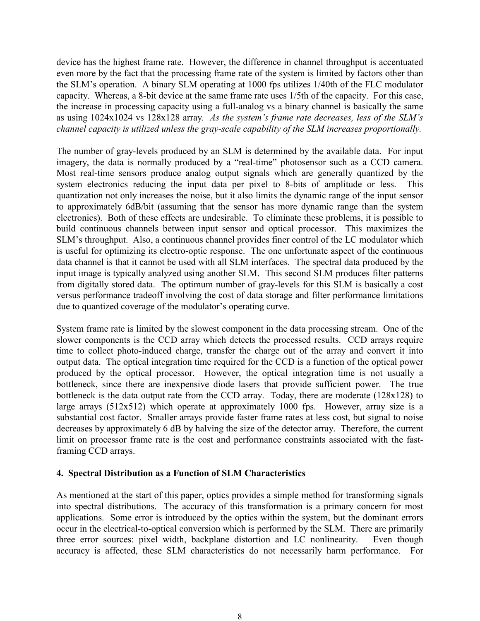device has the highest frame rate. However, the difference in channel throughput is accentuated even more by the fact that the processing frame rate of the system is limited by factors other than the SLM's operation. A binary SLM operating at 1000 fps utilizes 1/40th of the FLC modulator capacity. Whereas, a 8-bit device at the same frame rate uses 1/5th of the capacity. For this case, the increase in processing capacity using a full-analog vs a binary channel is basically the same as using 1024x1024 vs 128x128 array*. As the system's frame rate decreases, less of the SLM's channel capacity is utilized unless the gray-scale capability of the SLM increases proportionally.*

The number of gray-levels produced by an SLM is determined by the available data. For input imagery, the data is normally produced by a "real-time" photosensor such as a CCD camera. Most real-time sensors produce analog output signals which are generally quantized by the system electronics reducing the input data per pixel to 8-bits of amplitude or less. This quantization not only increases the noise, but it also limits the dynamic range of the input sensor to approximately 6dB/bit (assuming that the sensor has more dynamic range than the system electronics). Both of these effects are undesirable. To eliminate these problems, it is possible to build continuous channels between input sensor and optical processor. This maximizes the SLM's throughput. Also, a continuous channel provides finer control of the LC modulator which is useful for optimizing its electro-optic response. The one unfortunate aspect of the continuous data channel is that it cannot be used with all SLM interfaces. The spectral data produced by the input image is typically analyzed using another SLM. This second SLM produces filter patterns from digitally stored data. The optimum number of gray-levels for this SLM is basically a cost versus performance tradeoff involving the cost of data storage and filter performance limitations due to quantized coverage of the modulator's operating curve.

System frame rate is limited by the slowest component in the data processing stream. One of the slower components is the CCD array which detects the processed results. CCD arrays require time to collect photo-induced charge, transfer the charge out of the array and convert it into output data. The optical integration time required for the CCD is a function of the optical power produced by the optical processor. However, the optical integration time is not usually a bottleneck, since there are inexpensive diode lasers that provide sufficient power. The true bottleneck is the data output rate from the CCD array. Today, there are moderate (128x128) to large arrays  $(512x512)$  which operate at approximately 1000 fps. However, array size is a substantial cost factor. Smaller arrays provide faster frame rates at less cost, but signal to noise decreases by approximately 6 dB by halving the size of the detector array. Therefore, the current limit on processor frame rate is the cost and performance constraints associated with the fastframing CCD arrays.

# **4. Spectral Distribution as a Function of SLM Characteristics**

As mentioned at the start of this paper, optics provides a simple method for transforming signals into spectral distributions. The accuracy of this transformation is a primary concern for most applications. Some error is introduced by the optics within the system, but the dominant errors occur in the electrical-to-optical conversion which is performed by the SLM. There are primarily three error sources: pixel width, backplane distortion and LC nonlinearity. Even though accuracy is affected, these SLM characteristics do not necessarily harm performance. For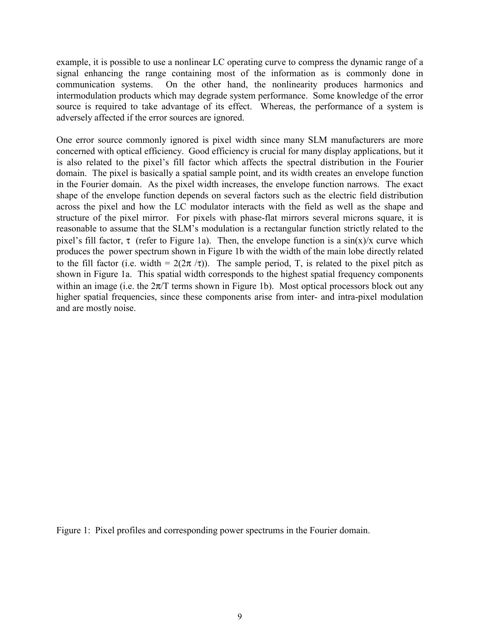example, it is possible to use a nonlinear LC operating curve to compress the dynamic range of a signal enhancing the range containing most of the information as is commonly done in communication systems. On the other hand, the nonlinearity produces harmonics and intermodulation products which may degrade system performance. Some knowledge of the error source is required to take advantage of its effect. Whereas, the performance of a system is adversely affected if the error sources are ignored.

One error source commonly ignored is pixel width since many SLM manufacturers are more concerned with optical efficiency. Good efficiency is crucial for many display applications, but it is also related to the pixel's fill factor which affects the spectral distribution in the Fourier domain. The pixel is basically a spatial sample point, and its width creates an envelope function in the Fourier domain. As the pixel width increases, the envelope function narrows. The exact shape of the envelope function depends on several factors such as the electric field distribution across the pixel and how the LC modulator interacts with the field as well as the shape and structure of the pixel mirror. For pixels with phase-flat mirrors several microns square, it is reasonable to assume that the SLM's modulation is a rectangular function strictly related to the pixel's fill factor,  $\tau$  (refer to Figure 1a). Then, the envelope function is a sin(x)/x curve which produces the power spectrum shown in Figure 1b with the width of the main lobe directly related to the fill factor (i.e. width =  $2(2\pi/\tau)$ ). The sample period, T, is related to the pixel pitch as shown in Figure 1a. This spatial width corresponds to the highest spatial frequency components within an image (i.e. the  $2\pi/T$  terms shown in Figure 1b). Most optical processors block out any higher spatial frequencies, since these components arise from inter- and intra-pixel modulation and are mostly noise.

Figure 1: Pixel profiles and corresponding power spectrums in the Fourier domain.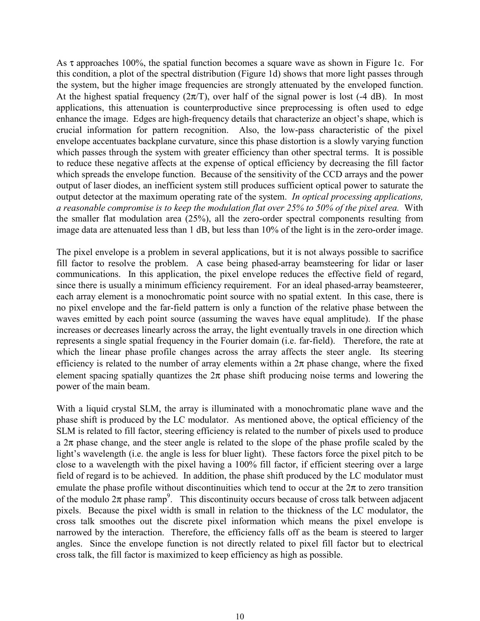As  $\tau$  approaches 100%, the spatial function becomes a square wave as shown in Figure 1c. For this condition, a plot of the spectral distribution (Figure 1d) shows that more light passes through the system, but the higher image frequencies are strongly attenuated by the enveloped function. At the highest spatial frequency  $(2\pi/T)$ , over half of the signal power is lost (-4 dB). In most applications, this attenuation is counterproductive since preprocessing is often used to edge enhance the image. Edges are high-frequency details that characterize an object's shape, which is crucial information for pattern recognition. Also, the low-pass characteristic of the pixel envelope accentuates backplane curvature, since this phase distortion is a slowly varying function which passes through the system with greater efficiency than other spectral terms. It is possible to reduce these negative affects at the expense of optical efficiency by decreasing the fill factor which spreads the envelope function. Because of the sensitivity of the CCD arrays and the power output of laser diodes, an inefficient system still produces sufficient optical power to saturate the output detector at the maximum operating rate of the system. *In optical processing applications, a reasonable compromise is to keep the modulation flat over 25% to 50% of the pixel area.* With the smaller flat modulation area (25%), all the zero-order spectral components resulting from image data are attenuated less than 1 dB, but less than 10% of the light is in the zero-order image.

The pixel envelope is a problem in several applications, but it is not always possible to sacrifice fill factor to resolve the problem. A case being phased-array beamsteering for lidar or laser communications. In this application, the pixel envelope reduces the effective field of regard, since there is usually a minimum efficiency requirement. For an ideal phased-array beamsteerer, each array element is a monochromatic point source with no spatial extent. In this case, there is no pixel envelope and the far-field pattern is only a function of the relative phase between the waves emitted by each point source (assuming the waves have equal amplitude). If the phase increases or decreases linearly across the array, the light eventually travels in one direction which represents a single spatial frequency in the Fourier domain (i.e. far-field). Therefore, the rate at which the linear phase profile changes across the array affects the steer angle. Its steering efficiency is related to the number of array elements within a  $2\pi$  phase change, where the fixed element spacing spatially quantizes the  $2\pi$  phase shift producing noise terms and lowering the power of the main beam.

With a liquid crystal SLM, the array is illuminated with a monochromatic plane wave and the phase shift is produced by the LC modulator. As mentioned above, the optical efficiency of the SLM is related to fill factor, steering efficiency is related to the number of pixels used to produce a  $2\pi$  phase change, and the steer angle is related to the slope of the phase profile scaled by the light's wavelength (i.e. the angle is less for bluer light). These factors force the pixel pitch to be close to a wavelength with the pixel having a 100% fill factor, if efficient steering over a large field of regard is to be achieved. In addition, the phase shift produced by the LC modulator must emulate the phase profile without discontinuities which tend to occur at the  $2\pi$  to zero transition of the modulo  $2\pi$  phase ramp<sup>9</sup>. This discontinuity occurs because of cross talk between adjacent pixels. Because the pixel width is small in relation to the thickness of the LC modulator, the cross talk smoothes out the discrete pixel information which means the pixel envelope is narrowed by the interaction. Therefore, the efficiency falls off as the beam is steered to larger angles. Since the envelope function is not directly related to pixel fill factor but to electrical cross talk, the fill factor is maximized to keep efficiency as high as possible.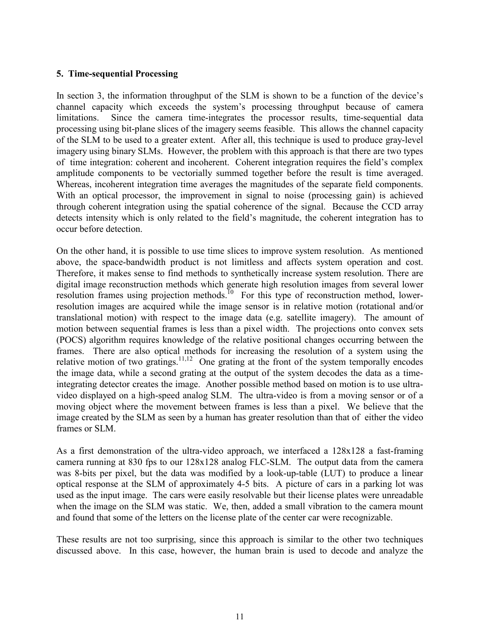## **5. Time-sequential Processing**

In section 3, the information throughput of the SLM is shown to be a function of the device's channel capacity which exceeds the system's processing throughput because of camera limitations. Since the camera time-integrates the processor results, time-sequential data processing using bit-plane slices of the imagery seems feasible. This allows the channel capacity of the SLM to be used to a greater extent. After all, this technique is used to produce gray-level imagery using binary SLMs. However, the problem with this approach is that there are two types of time integration: coherent and incoherent. Coherent integration requires the field's complex amplitude components to be vectorially summed together before the result is time averaged. Whereas, incoherent integration time averages the magnitudes of the separate field components. With an optical processor, the improvement in signal to noise (processing gain) is achieved through coherent integration using the spatial coherence of the signal. Because the CCD array detects intensity which is only related to the field's magnitude, the coherent integration has to occur before detection.

On the other hand, it is possible to use time slices to improve system resolution. As mentioned above, the space-bandwidth product is not limitless and affects system operation and cost. Therefore, it makes sense to find methods to synthetically increase system resolution. There are digital image reconstruction methods which generate high resolution images from several lower resolution frames using projection methods.<sup>10</sup> For this type of reconstruction method, lowerresolution images are acquired while the image sensor is in relative motion (rotational and/or translational motion) with respect to the image data (e.g. satellite imagery). The amount of motion between sequential frames is less than a pixel width. The projections onto convex sets (POCS) algorithm requires knowledge of the relative positional changes occurring between the frames. There are also optical methods for increasing the resolution of a system using the relative motion of two gratings.<sup>11,12</sup> One grating at the front of the system temporally encodes the image data, while a second grating at the output of the system decodes the data as a timeintegrating detector creates the image. Another possible method based on motion is to use ultravideo displayed on a high-speed analog SLM. The ultra-video is from a moving sensor or of a moving object where the movement between frames is less than a pixel. We believe that the image created by the SLM as seen by a human has greater resolution than that of either the video frames or SLM.

As a first demonstration of the ultra-video approach, we interfaced a 128x128 a fast-framing camera running at 830 fps to our 128x128 analog FLC-SLM. The output data from the camera was 8-bits per pixel, but the data was modified by a look-up-table (LUT) to produce a linear optical response at the SLM of approximately 4-5 bits. A picture of cars in a parking lot was used as the input image. The cars were easily resolvable but their license plates were unreadable when the image on the SLM was static. We, then, added a small vibration to the camera mount and found that some of the letters on the license plate of the center car were recognizable.

These results are not too surprising, since this approach is similar to the other two techniques discussed above. In this case, however, the human brain is used to decode and analyze the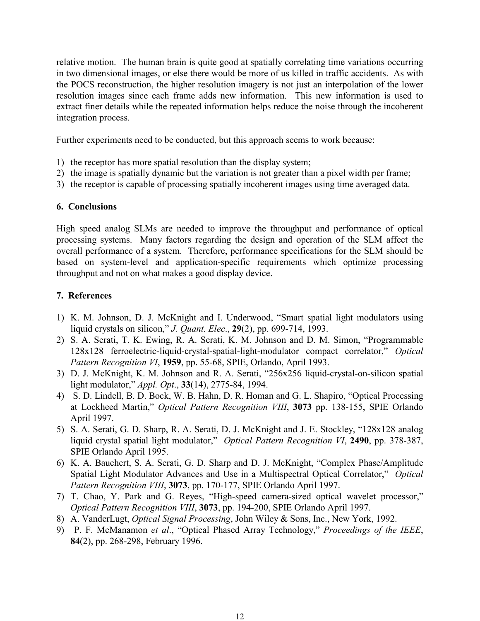relative motion. The human brain is quite good at spatially correlating time variations occurring in two dimensional images, or else there would be more of us killed in traffic accidents. As with the POCS reconstruction, the higher resolution imagery is not just an interpolation of the lower resolution images since each frame adds new information. This new information is used to extract finer details while the repeated information helps reduce the noise through the incoherent integration process.

Further experiments need to be conducted, but this approach seems to work because:

- 1) the receptor has more spatial resolution than the display system;
- 2) the image is spatially dynamic but the variation is not greater than a pixel width per frame;
- 3) the receptor is capable of processing spatially incoherent images using time averaged data.

## **6. Conclusions**

High speed analog SLMs are needed to improve the throughput and performance of optical processing systems. Many factors regarding the design and operation of the SLM affect the overall performance of a system. Therefore, performance specifications for the SLM should be based on system-level and application-specific requirements which optimize processing throughput and not on what makes a good display device.

# **7. References**

- 1) K. M. Johnson, D. J. McKnight and I. Underwood, "Smart spatial light modulators using liquid crystals on silicon," *J. Quant. Elec*., **29**(2), pp. 699-714, 1993.
- 2) S. A. Serati, T. K. Ewing, R. A. Serati, K. M. Johnson and D. M. Simon, "Programmable 128x128 ferroelectric-liquid-crystal-spatial-light-modulator compact correlator," *Optical Pattern Recognition VI*, **1959**, pp. 55-68, SPIE, Orlando, April 1993.
- 3) D. J. McKnight, K. M. Johnson and R. A. Serati, "256x256 liquid-crystal-on-silicon spatial light modulator," *Appl. Opt*., **33**(14), 2775-84, 1994.
- 4) S. D. Lindell, B. D. Bock, W. B. Hahn, D. R. Homan and G. L. Shapiro, "Optical Processing at Lockheed Martin," *Optical Pattern Recognition VIII*, **3073** pp. 138-155, SPIE Orlando April 1997.
- 5) S. A. Serati, G. D. Sharp, R. A. Serati, D. J. McKnight and J. E. Stockley, "128x128 analog liquid crystal spatial light modulator," *Optical Pattern Recognition VI*, **2490**, pp. 378-387, SPIE Orlando April 1995.
- 6) K. A. Bauchert, S. A. Serati, G. D. Sharp and D. J. McKnight, "Complex Phase/Amplitude Spatial Light Modulator Advances and Use in a Multispectral Optical Correlator," *Optical Pattern Recognition VIII*, **3073**, pp. 170-177, SPIE Orlando April 1997.
- 7) T. Chao, Y. Park and G. Reyes, "High-speed camera-sized optical wavelet processor," *Optical Pattern Recognition VIII*, **3073**, pp. 194-200, SPIE Orlando April 1997.
- 8) A. VanderLugt, *Optical Signal Processing*, John Wiley & Sons, Inc., New York, 1992.
- 9) P. F. McManamon *et al*., "Optical Phased Array Technology," *Proceedings of the IEEE*, **84**(2), pp. 268-298, February 1996.